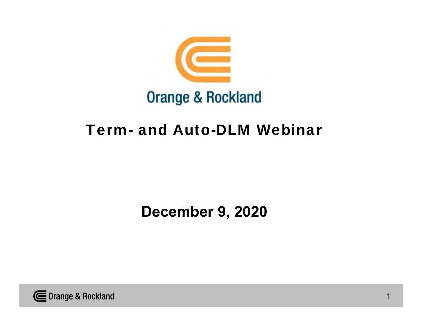

## Term- and Auto-DLM Webinar

**December 9, 2020**

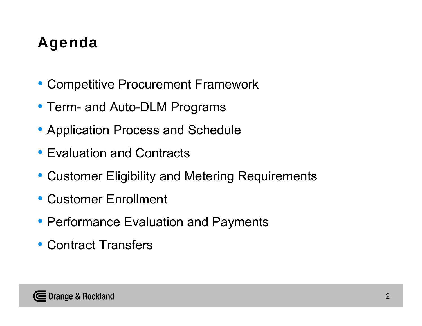# Agenda

- Competitive Procurement Framework
- Term- and Auto-DLM Programs
- Application Process and Schedule
- Evaluation and Contracts
- Customer Eligibility and Metering Requirements
- Customer Enrollment
- Performance Evaluation and Payments
- Contract Transfers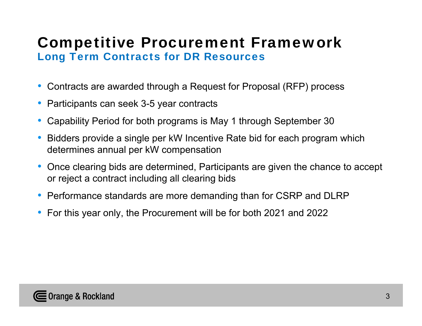## Competitive Procurement Framework Long Term Contracts for DR Resources

- Contracts are awarded through a Request for Proposal (RFP) process
- Participants can seek 3-5 year contracts
- Capability Period for both programs is May 1 through September 30
- Bidders provide a single per kW Incentive Rate bid for each program which determines annual per kW compensation
- Once clearing bids are determined, Participants are given the chance to accept or reject a contract including all clearing bids
- Performance standards are more demanding than for CSRP and DLRP
- For this year only, the Procurement will be for both 2021 and 2022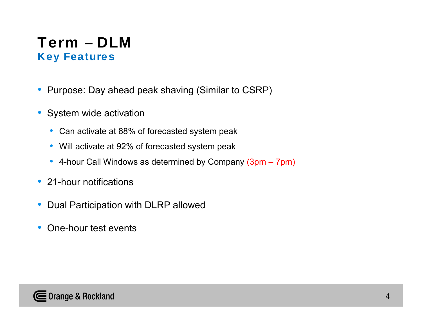## Term – DLMKey Features

- Purpose: Day ahead peak shaving (Similar to CSRP)
- System wide activation
	- Can activate at 88% of forecasted system peak
	- Will activate at 92% of forecasted system peak
	- 4-hour Call Windows as determined by Company (3pm 7pm)
- 21-hour notifications
- Dual Participation with DLRP allowed
- One-hour test events

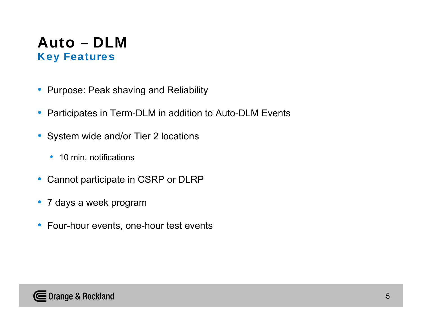## Auto – DLMKey Features

- Purpose: Peak shaving and Reliability
- Participates in Term-DLM in addition to Auto-DLM Events
- System wide and/or Tier 2 locations
	- 10 min. notifications
- Cannot participate in CSRP or DLRP
- 7 days a week program
- Four-hour events, one-hour test events

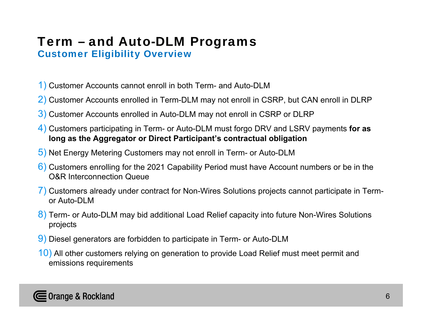#### Term – and Auto-DLM Programs Customer Eligibility Overview

- 1) Customer Accounts cannot enroll in both Term- and Auto-DLM
- 2) Customer Accounts enrolled in Term-DLM may not enroll in CSRP, but CAN enroll in DLRP
- 3) Customer Accounts enrolled in Auto-DLM may not enroll in CSRP or DLRP
- 4) Customers participating in Term- or Auto-DLM must forgo DRV and LSRV payments **for as long as the Aggregator or Direct Participant's contractual obligation**
- 5) Net Energy Metering Customers may not enroll in Term- or Auto-DLM
- 6) Customers enrolling for the 2021 Capability Period must have Account numbers or be in the O&R Interconnection Queue
- 7) Customers already under contract for Non-Wires Solutions projects cannot participate in Termor Auto-DLM
- 8) Term- or Auto-DLM may bid additional Load Relief capacity into future Non-Wires Solutions projects
- 9) Diesel generators are forbidden to participate in Term- or Auto-DLM
- 10) All other customers relying on generation to provide Load Relief must meet permit and emissions requirements

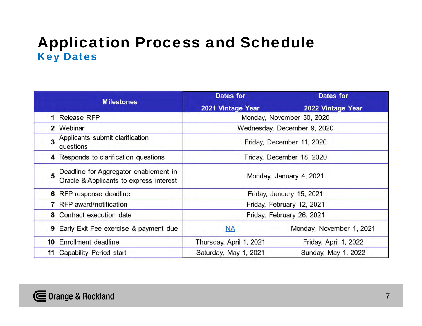## Application Process and Schedule Key Dates

|                                                                                  | <b>Dates for</b>            | <b>Dates for</b>          |  |
|----------------------------------------------------------------------------------|-----------------------------|---------------------------|--|
| <b>Milestones</b>                                                                | 2021 Vintage Year           | 2022 Vintage Year         |  |
| 1 Release RFP                                                                    | Monday, November 30, 2020   |                           |  |
| 2 Webinar                                                                        | Wednesday, December 9, 2020 |                           |  |
| 3 Applicants submit clarification<br>questions                                   | Friday, December 11, 2020   |                           |  |
| 4 Responds to clarification questions                                            |                             | Friday, December 18, 2020 |  |
| Deadline for Aggregator enablement in<br>Oracle & Applicants to express interest | Monday, January 4, 2021     |                           |  |
| 6 RFP response deadline                                                          | Friday, January 15, 2021    |                           |  |
| 7 RFP award/notification                                                         | Friday, February 12, 2021   |                           |  |
| 8 Contract execution date                                                        | Friday, February 26, 2021   |                           |  |
| 9 Early Exit Fee exercise & payment due                                          | <b>NA</b>                   | Monday, November 1, 2021  |  |
| 10 Enrollment deadline                                                           | Thursday, April 1, 2021     | Friday, April 1, 2022     |  |
| 11 Capability Period start                                                       | Saturday, May 1, 2021       | Sunday, May 1, 2022       |  |

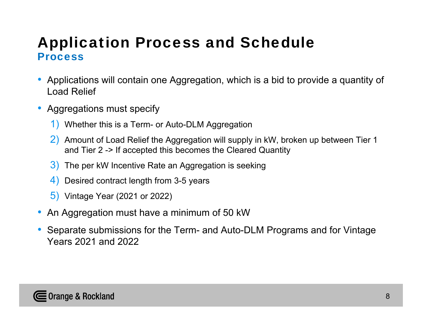- Applications will contain one Aggregation, which is a bid to provide a quantity of Load Relief
- Aggregations must specify
	- 1) Whether this is a Term- or Auto-DLM Aggregation
	- 2) Amount of Load Relief the Aggregation will supply in kW, broken up between Tier 1 and Tier 2 -> If accepted this becomes the Cleared Quantity
	- 3) The per kW Incentive Rate an Aggregation is seeking
	- 4) Desired contract length from 3-5 years
	- 5) Vintage Year (2021 or 2022)
- An Aggregation must have a minimum of 50 kW
- Separate submissions for the Term- and Auto-DLM Programs and for Vintage Years 2021 and 2022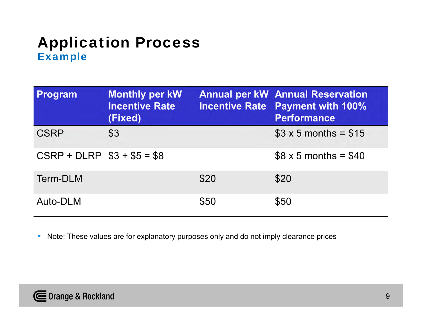## Application Process **Example**

| Program                      | <b>Monthly per kW</b><br><b>Incentive Rate</b><br>(Fixed) |      | <b>Annual per kW Annual Reservation</b><br><b>Incentive Rate Payment with 100%</b><br><b>Performance</b> |
|------------------------------|-----------------------------------------------------------|------|----------------------------------------------------------------------------------------------------------|
| <b>CSRP</b>                  | \$3                                                       |      | $$3 \times 5$ months = \$15                                                                              |
| $CSRP + DLRP$ $$3 + $5 = $8$ |                                                           |      | $$8 \times 5$ months = \$40                                                                              |
| Term-DLM                     |                                                           | \$20 | \$20                                                                                                     |
| Auto-DLM                     |                                                           | \$50 | \$50                                                                                                     |

•Note: These values are for explanatory purposes only and do not imply clearance prices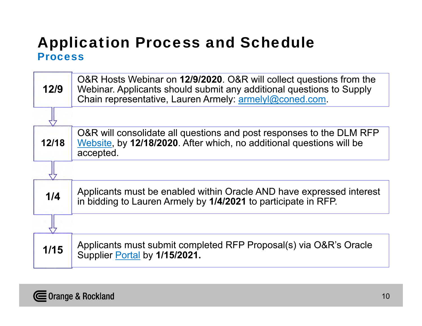| 12/9   | O&R Hosts Webinar on 12/9/2020. O&R will collect questions from the<br>Webinar. Applicants should submit any additional questions to Supply<br>Chain representative, Lauren Armely: armelyl@coned.com. |
|--------|--------------------------------------------------------------------------------------------------------------------------------------------------------------------------------------------------------|
|        |                                                                                                                                                                                                        |
| 12/18  | O&R will consolidate all questions and post responses to the DLM RFP<br>Website, by 12/18/2020. After which, no additional questions will be<br>accepted.                                              |
|        |                                                                                                                                                                                                        |
| 1/4    | Applicants must be enabled within Oracle AND have expressed interest<br>in bidding to Lauren Armely by 1/4/2021 to participate in RFP.                                                                 |
|        |                                                                                                                                                                                                        |
| $1/15$ | Applicants must submit completed RFP Proposal(s) via O&R's Oracle<br>Supplier Portal by 1/15/2021.                                                                                                     |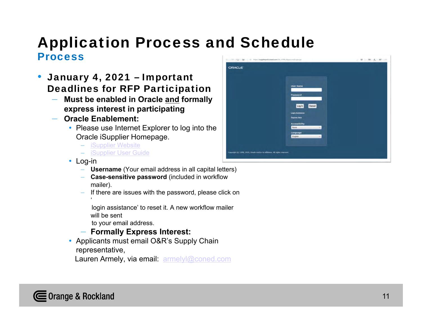- January 4, 2021 Important Deadlines for RFP Participation
	- **Must be enabled in Oracle and formally express interest in participating**
	- **Oracle Enablement:**
		- Please use Internet Explorer to log into the Oracle iSupplier Homepage.
			- iSupplier Website
			- iSupplier User Guide
		- Log-in
			- **Username** (Your email address in all capital letters)
			- **Case-sensitive password** (included in workflow mailer).
			- If there are issues with the password, please click on  $\epsilon$ 
				- login assistance' to reset it. A new workflow mailer will be sent
				- to your email address.
			- **Formally Express Interest:**
		- Applicants must email O&R's Supply Chain representative,
			- Lauren Armely, via email: armelyl@coned.com

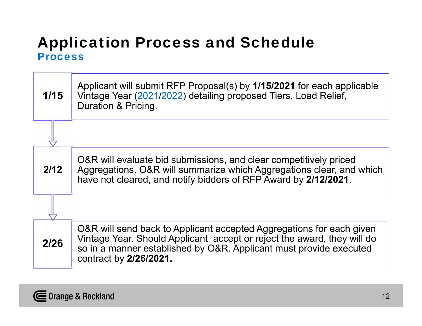| 1/15 | Applicant will submit RFP Proposal(s) by 1/15/2021 for each applicable<br>Vintage Year (2021/2022) detailing proposed Tiers, Load Relief,<br>Duration & Pricing.                                                                                |
|------|-------------------------------------------------------------------------------------------------------------------------------------------------------------------------------------------------------------------------------------------------|
|      |                                                                                                                                                                                                                                                 |
| 2/12 | O&R will evaluate bid submissions, and clear competitively priced<br>Aggregations. O&R will summarize which Aggregations clear, and which<br>have not cleared, and notify bidders of RFP Award by 2/12/2021.                                    |
|      |                                                                                                                                                                                                                                                 |
| 2/26 | O&R will send back to Applicant accepted Aggregations for each given<br>Vintage Year. Should Applicant accept or reject the award, they will do<br>so in a manner established by O&R. Applicant must provide executed<br>contract by 2/26/2021. |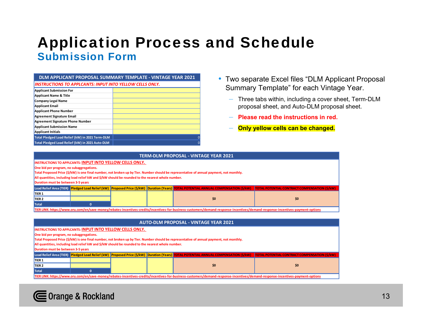## Application Process and Schedule Submission Form

| DLM APPLICANT PROPOSAL SUMMARY TEMPLATE - VINTAGE YEAR 2021 |  |  |  |  |  |
|-------------------------------------------------------------|--|--|--|--|--|
| INSTRUCTIONS TO APPLCANTS: INPUT INTO YELLOW CELLS ONLY.    |  |  |  |  |  |
| Applicant Submission For                                    |  |  |  |  |  |
| Applicant Name & Title                                      |  |  |  |  |  |
|                                                             |  |  |  |  |  |

| Applicant Name & Title                          |   |
|-------------------------------------------------|---|
| <b>Company Legal Name</b>                       |   |
| Applicant Email                                 |   |
| Applicant Phone Number                          |   |
| Agreement Signature Email                       |   |
| Agreement Signature Phone Number                |   |
| <b>Applicant Submission Name</b>                |   |
| <b>Applicant Initials</b>                       |   |
| Total Pledged Load Relief (kW) in 2021 Term-DLM | O |
| Total Pledged Load Relief (kW) in 2021 Auto-DLM | O |

- Two separate Excel files "DLM Applicant Proposal Summary Template" for each Vintage Year.
	- Three tabs within, including a cover sheet, Term-DLM proposal sheet, and Auto-DLM proposal sheet.
	- **Please read the instructions in red.**
	- **Only yellow cells can be changed.**

| TERM-DLM PROPOSAL - VINTAGE YEAR 2021                                                                                                                                                                                          |                                                                                                   |  |  |                                                                                                                                          |                                                                                                                                                                           |  |
|--------------------------------------------------------------------------------------------------------------------------------------------------------------------------------------------------------------------------------|---------------------------------------------------------------------------------------------------|--|--|------------------------------------------------------------------------------------------------------------------------------------------|---------------------------------------------------------------------------------------------------------------------------------------------------------------------------|--|
|                                                                                                                                                                                                                                | <b>INSTRUCTIONS TO APPLCANTS: INPUT INTO YELLOW CELLS ONLY.</b>                                   |  |  |                                                                                                                                          |                                                                                                                                                                           |  |
| One bid per program, no subaggregations.                                                                                                                                                                                       |                                                                                                   |  |  |                                                                                                                                          |                                                                                                                                                                           |  |
|                                                                                                                                                                                                                                |                                                                                                   |  |  | Total Proposed Price (\$/kW) is one final number, not broken up by Tier. Number should be representative of annual payment, not monthly. |                                                                                                                                                                           |  |
|                                                                                                                                                                                                                                | All quantities, including load relief kW and \$/kW should be rounded to the nearest whole number. |  |  |                                                                                                                                          |                                                                                                                                                                           |  |
| Duration must be between 3-5 years                                                                                                                                                                                             |                                                                                                   |  |  |                                                                                                                                          |                                                                                                                                                                           |  |
|                                                                                                                                                                                                                                |                                                                                                   |  |  |                                                                                                                                          | Load Relief Area (TIER) Pledged Load Relief (kW) Proposed Price (\$/kW) Duration (Years) TOTAL POTENTIAL ANNUAL COMPENSATION (\$/kW) TOTAL POTENTIAL COMPENSATION (\$/kW) |  |
| TIER <sub>1</sub>                                                                                                                                                                                                              |                                                                                                   |  |  |                                                                                                                                          |                                                                                                                                                                           |  |
| TIER <sub>2</sub>                                                                                                                                                                                                              | \$0<br>\$0                                                                                        |  |  |                                                                                                                                          |                                                                                                                                                                           |  |
| <b>Total</b>                                                                                                                                                                                                                   |                                                                                                   |  |  |                                                                                                                                          |                                                                                                                                                                           |  |
| TIER LINK: https://www.oru.com/en/save-money/rebates-incentives-credits/incentives-for-business-customers/demand-response-incentives/demand-response-incentives/demand-response-incentives/permand-response-incentives-payment |                                                                                                   |  |  |                                                                                                                                          |                                                                                                                                                                           |  |
|                                                                                                                                                                                                                                |                                                                                                   |  |  |                                                                                                                                          |                                                                                                                                                                           |  |

|                                 | <b>AUTO-DLM PROPOSAL - VINTAGE YEAR 2021</b>                                                                                                                                       |                                                                                                   |  |  |                                                                                                                                          |  |  |  |
|---------------------------------|------------------------------------------------------------------------------------------------------------------------------------------------------------------------------------|---------------------------------------------------------------------------------------------------|--|--|------------------------------------------------------------------------------------------------------------------------------------------|--|--|--|
|                                 | <b>INSTRUCTIONS TO APPLCANTS: INPUT INTO YELLOW CELLS ONLY.</b>                                                                                                                    |                                                                                                   |  |  |                                                                                                                                          |  |  |  |
|                                 | One bid per program, no subaggregations.                                                                                                                                           |                                                                                                   |  |  |                                                                                                                                          |  |  |  |
|                                 |                                                                                                                                                                                    |                                                                                                   |  |  | Total Proposed Price (\$/kW) is one final number, not broken up by Tier. Number should be representative of annual payment, not monthly. |  |  |  |
|                                 |                                                                                                                                                                                    | All quantities, including load relief kW and \$/kW should be rounded to the nearest whole number. |  |  |                                                                                                                                          |  |  |  |
|                                 | Duration must be between 3-5 years                                                                                                                                                 |                                                                                                   |  |  |                                                                                                                                          |  |  |  |
|                                 | Load Relief Area (TIER) Pledged Load Relief (kW) Proposed Price (\$/kW) Duration (Years) TOTAL POTENTIAL ANNUAL COMPENSATION (\$/kW) TOTAL POTENTIAL CONTRACT COMPENSATION (\$/kW) |                                                                                                   |  |  |                                                                                                                                          |  |  |  |
| TIER <sub>1</sub>               |                                                                                                                                                                                    |                                                                                                   |  |  |                                                                                                                                          |  |  |  |
| \$0<br>\$0<br>TIER <sub>2</sub> |                                                                                                                                                                                    |                                                                                                   |  |  |                                                                                                                                          |  |  |  |
|                                 | <b>Total</b><br>$\mathbf{0}$                                                                                                                                                       |                                                                                                   |  |  |                                                                                                                                          |  |  |  |
|                                 | TIER LINK: https://www.oru.com/en/save-money/rebates-incentives-credits/incentives-for-business-customers/demand-response-incentives/demand-response-incentives-payment-options    |                                                                                                   |  |  |                                                                                                                                          |  |  |  |

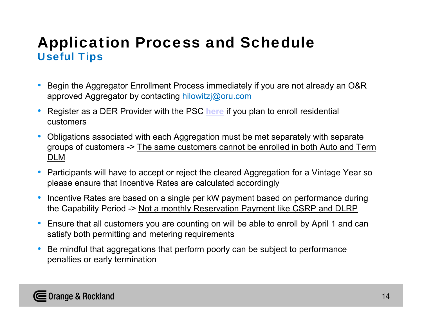## Application Process and Schedule Useful Tips

- $\bullet$  Begin the Aggregator Enrollment Process immediately if you are not already an O&R approved Aggregator by contacting hilowitzj@oru.com
- $\bullet$  Register as a DER Provider with the PSC **here** if you plan to enroll residential customers
- $\bullet$  Obligations associated with each Aggregation must be met separately with separate groups of customers -> The same customers cannot be enrolled in both Auto and Term DLM
- Participants will have to accept or reject the cleared Aggregation for a Vintage Year so please ensure that Incentive Rates are calculated accordingly
- $\bullet$  Incentive Rates are based on a single per kW payment based on performance during the Capability Period -> Not a monthly Reservation Payment like CSRP and DLRP
- $\bullet$  Ensure that all customers you are counting on will be able to enroll by April 1 and can satisfy both permitting and metering requirements
- $\bullet$  Be mindful that aggregations that perform poorly can be subject to performance penalties or early termination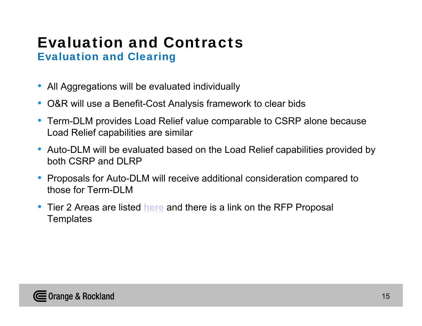#### Evaluation and ContractsEvaluation and Clearing

- All Aggregations will be evaluated individually
- O&R will use a Benefit-Cost Analysis framework to clear bids
- Term-DLM provides Load Relief value comparable to CSRP alone because Load Relief capabilities are similar
- Auto-DLM will be evaluated based on the Load Relief capabilities provided by both CSRP and DLRP
- Proposals for Auto-DLM will receive additional consideration compared to those for Term-DLM
- Tier 2 Areas are listed **here** and there is a link on the RFP Proposal **Templates**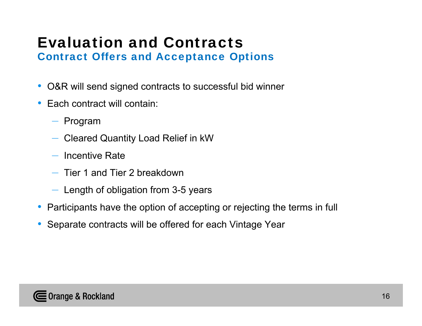#### Evaluation and ContractsContract Offers and Acceptance Options

- O&R will send signed contracts to successful bid winner
- Each contract will contain:
	- Program
	- Cleared Quantity Load Relief in kW
	- $-$  Incentive Rate
	- Tier 1 and Tier 2 breakdown
	- Length of obligation from 3-5 years
- Participants have the option of accepting or rejecting the terms in full
- Separate contracts will be offered for each Vintage Year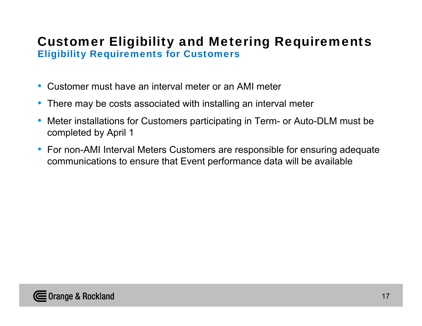#### Customer Eligibility and Metering Requirements Eligibility Requirements for Customers

- Customer must have an interval meter or an AMI meter
- There may be costs associated with installing an interval meter
- Meter installations for Customers participating in Term- or Auto-DLM must be completed by April 1
- For non-AMI Interval Meters Customers are responsible for ensuring adequate communications to ensure that Event performance data will be available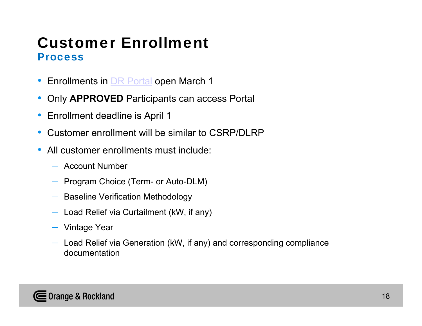## Customer EnrollmentProcess

- Enrollments in <u>DR Portal</u> open March 1
- Only **APPROVED** Participants can access Portal
- Enrollment deadline is April 1
- $\bullet$ Customer enrollment will be similar to CSRP/DLRP
- $\bullet$  All customer enrollments must include:
	- Account Number
	- Program Choice (Term- or Auto-DLM)
	- Baseline Verification Methodology
	- Load Relief via Curtailment (kW, if any)
	- Vintage Year
	- Load Relief via Generation (kW, if any) and corresponding compliance documentation

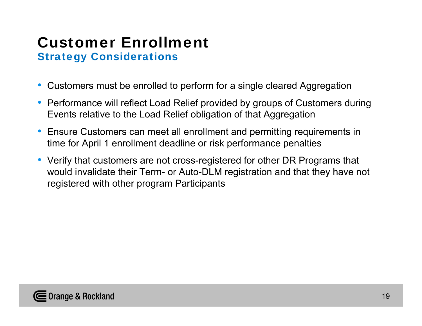#### Customer Enrollment Strategy Considerations

- Customers must be enrolled to perform for a single cleared Aggregation
- Performance will reflect Load Relief provided by groups of Customers during Events relative to the Load Relief obligation of that Aggregation
- Ensure Customers can meet all enrollment and permitting requirements in time for April 1 enrollment deadline or risk performance penalties
- Verify that customers are not cross-registered for other DR Programs that would invalidate their Term- or Auto-DLM registration and that they have not registered with other program Participants

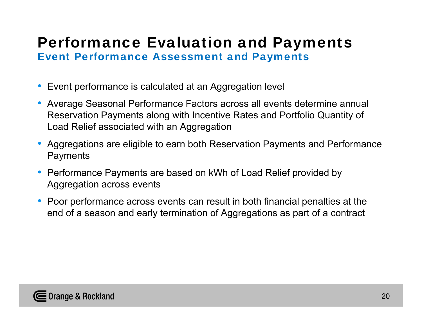#### Performance Evaluation and Payments Event Performance Assessment and Payments

- Event performance is calculated at an Aggregation level
- Average Seasonal Performance Factors across all events determine annual Reservation Payments along with Incentive Rates and Portfolio Quantity of Load Relief associated with an Aggregation
- Aggregations are eligible to earn both Reservation Payments and Performance **Payments**
- Performance Payments are based on kWh of Load Relief provided by Aggregation across events
- Poor performance across events can result in both financial penalties at the end of a season and early termination of Aggregations as part of a contract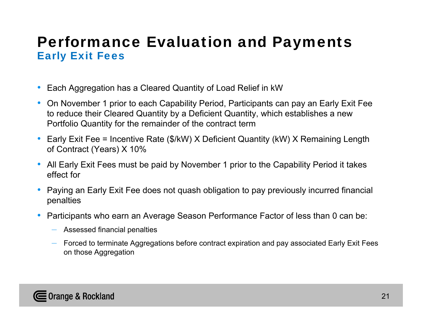## Performance Evaluation and Payments Early Exit Fees

- •Each Aggregation has a Cleared Quantity of Load Relief in kW
- On November 1 prior to each Capability Period, Participants can pay an Early Exit Fee to reduce their Cleared Quantity by a Deficient Quantity, which establishes a new Portfolio Quantity for the remainder of the contract term
- Early Exit Fee = Incentive Rate (\$/kW) X Deficient Quantity (kW) X Remaining Length of Contract (Years) X 10%
- All Early Exit Fees must be paid by November 1 prior to the Capability Period it takes effect for
- • Paying an Early Exit Fee does not quash obligation to pay previously incurred financial penalties
- • Participants who earn an Average Season Performance Factor of less than 0 can be:
	- Assessed financial penalties
	- $-$  Forced to terminate Aggregations before contract expiration and pay associated Early Exit Fees  $\,$ on those Aggregation

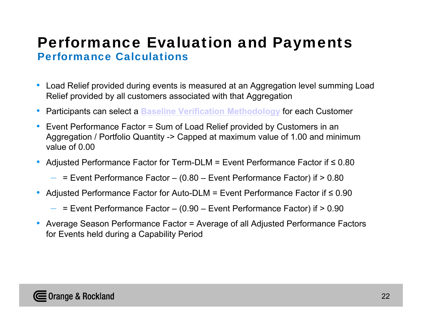## Performance Evaluation and Payments Performance Calculations

- $\bullet$  Load Relief provided during events is measured at an Aggregation level summing Load Relief provided by all customers associated with that Aggregation
- •Participants can select a **Baseline Verification Methodology** for each Customer
- • Event Performance Factor = Sum of Load Relief provided by Customers in an Aggregation / Portfolio Quantity -> Capped at maximum value of 1.00 and minimum value of 0.00
- $\bullet$  Adjusted Performance Factor for Term-DLM = Event Performance Factor if ≤ 0.80
	- $\,$  = Event Performance Factor (0.80 Event Performance Factor) if > 0.80  $\,$
- $\bullet$  Adjusted Performance Factor for Auto-DLM = Event Performance Factor if ≤ 0.90
	- = Event Performance Factor (0.90 Event Performance Factor) if > 0.90
- $\bullet$  Average Season Performance Factor = Average of all Adjusted Performance Factors for Events held during a Capability Period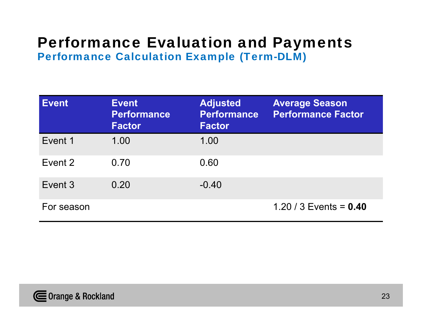#### Performance Evaluation and Payments Performance Calculation Example (Term-DLM)

| Event      | <b>Event</b><br><b>Performance</b><br><b>Factor</b> | <b>Adjusted</b><br><b>Performance</b><br><b>Factor</b> | <b>Average Season</b><br><b>Performance Factor</b> |
|------------|-----------------------------------------------------|--------------------------------------------------------|----------------------------------------------------|
| Event 1    | 1.00                                                | 1.00                                                   |                                                    |
| Event 2    | 0.70                                                | 0.60                                                   |                                                    |
| Event 3    | 0.20                                                | $-0.40$                                                |                                                    |
| For season |                                                     |                                                        | 1.20 / 3 Events = $0.40$                           |

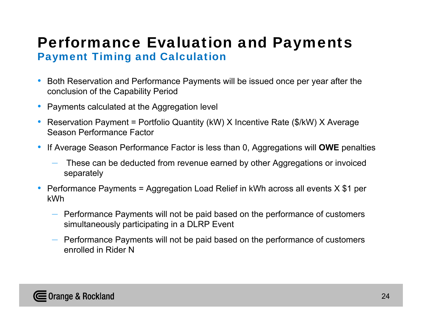## Performance Evaluation and Payments Payment Timing and Calculation

- Both Reservation and Performance Payments will be issued once per year after the conclusion of the Capability Period
- Payments calculated at the Aggregation level
- Reservation Payment = Portfolio Quantity (kW) X Incentive Rate (\$/kW) X Average Season Performance Factor
- • If Average Season Performance Factor is less than 0, Aggregations will **OWE** penalties
	- – These can be deducted from revenue earned by other Aggregations or invoiced separately
- Performance Payments = Aggregation Load Relief in kWh across all events X \$1 per kWh
	- Performance Payments will not be paid based on the performance of customers simultaneously participating in a DLRP Event
	- Performance Payments will not be paid based on the performance of customers enrolled in Rider N

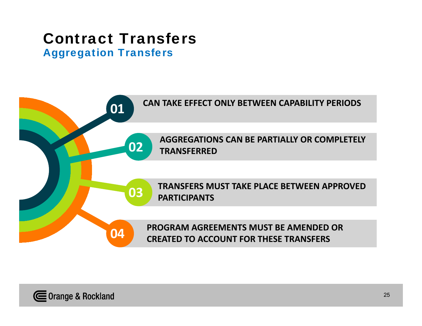# Contract Transfers

Aggregation Transfers